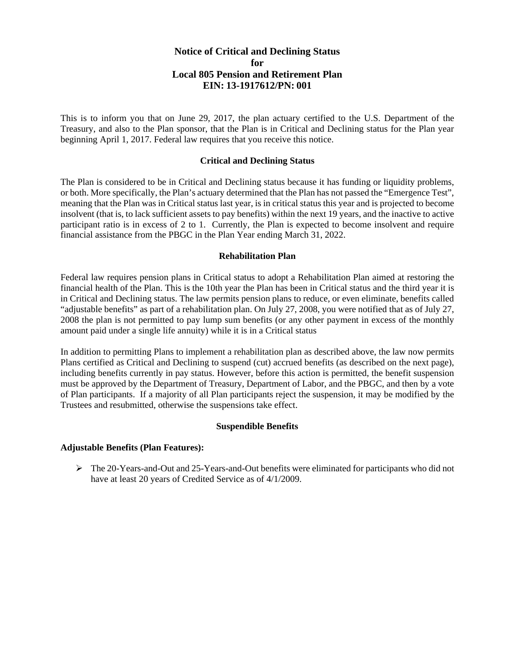# **Notice of Critical and Declining Status for Local 805 Pension and Retirement Plan EIN: 13-1917612/PN: 001**

This is to inform you that on June 29, 2017, the plan actuary certified to the U.S. Department of the Treasury, and also to the Plan sponsor, that the Plan is in Critical and Declining status for the Plan year beginning April 1, 2017. Federal law requires that you receive this notice.

#### **Critical and Declining Status**

The Plan is considered to be in Critical and Declining status because it has funding or liquidity problems, or both. More specifically, the Plan's actuary determined that the Plan has not passed the "Emergence Test", meaning that the Plan was in Critical status last year, is in critical status this year and is projected to become insolvent (that is, to lack sufficient assets to pay benefits) within the next 19 years, and the inactive to active participant ratio is in excess of 2 to 1. Currently, the Plan is expected to become insolvent and require financial assistance from the PBGC in the Plan Year ending March 31, 2022.

### **Rehabilitation Plan**

Federal law requires pension plans in Critical status to adopt a Rehabilitation Plan aimed at restoring the financial health of the Plan. This is the 10th year the Plan has been in Critical status and the third year it is in Critical and Declining status. The law permits pension plans to reduce, or even eliminate, benefits called "adjustable benefits" as part of a rehabilitation plan. On July 27, 2008, you were notified that as of July 27, 2008 the plan is not permitted to pay lump sum benefits (or any other payment in excess of the monthly amount paid under a single life annuity) while it is in a Critical status

In addition to permitting Plans to implement a rehabilitation plan as described above, the law now permits Plans certified as Critical and Declining to suspend (cut) accrued benefits (as described on the next page), including benefits currently in pay status. However, before this action is permitted, the benefit suspension must be approved by the Department of Treasury, Department of Labor, and the PBGC, and then by a vote of Plan participants. If a majority of all Plan participants reject the suspension, it may be modified by the Trustees and resubmitted, otherwise the suspensions take effect.

### **Suspendible Benefits**

#### **Adjustable Benefits (Plan Features):**

 $\triangleright$  The 20-Years-and-Out and 25-Years-and-Out benefits were eliminated for participants who did not have at least 20 years of Credited Service as of 4/1/2009.